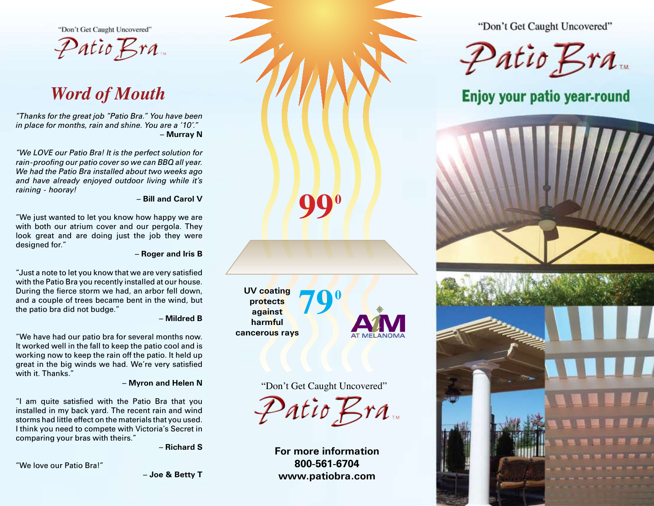"Don't Get Caught Uncovered"

Patio Bra

# *Word of Mouth*

*"Thanks for the great job "Patio Bra." You have been in place for months, rain and shine. You are a '10'."* **– Murray N**

*"We LOVE our Patio Bra! It is the perfect solution for rain-proofing our patio cover so we can BBQ all year. We had the Patio Bra installed about two weeks ago and have already enjoyed outdoor living while it's raining - hooray!*

#### **– Bill and Carol V**

"We just wanted to let you know how happy we are with both our atrium cover and our pergola. They look great and are doing just the job they were designed for."

**– Roger and Iris B**

"Just a note to let you know that we are very satisfied with the Patio Bra you recently installed at our house. During the fierce storm we had, an arbor fell down, and a couple of trees became bent in the wind, but the patio bra did not budge."

#### **– Mildred B**

"We have had our patio bra for several months now. It worked well in the fall to keep the patio cool and is working now to keep the rain off the patio. It held up great in the big winds we had. We're very satisfied with it. Thanks."

#### **– Myron and Helen N**

"I am quite satisfied with the Patio Bra that you installed in my back yard. The recent rain and wind storms had little effect on the materials that you used. I think you need to compete with Victoria's Secret in comparing your bras with theirs."

**– Richard S**

"We love our Patio Bra!"

**– Joe & Betty T**



## "Don't Get Caught Uncovered"

**990**

 $\mathcal{P}$ atio Bra

**For more information 800-561-6704 www.patiobra.com**

"Don't Get Caught Uncovered"

 $\mathcal{P}$ atio Bra

Enjoy your patio year-round